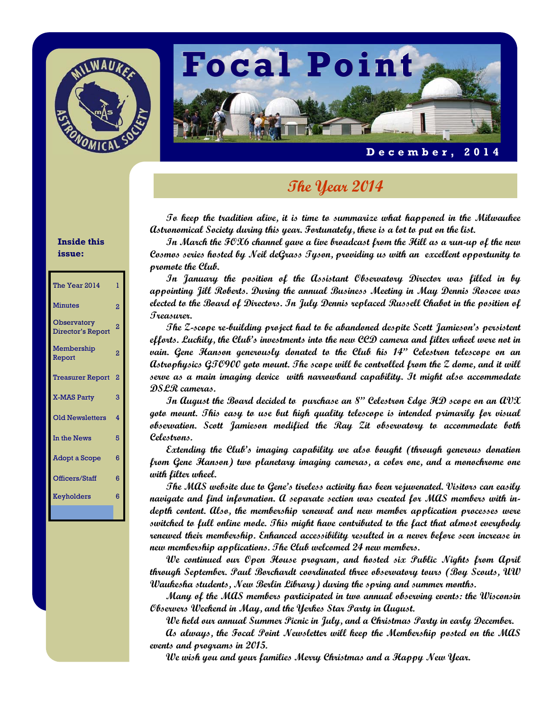



#### **December, 2014**

# **The Year 2014**

**To keep the tradition alive, it is time to summarize what happened in the Milwaukee Astronomical Society during this year. Fortunately, there is a lot to put on the list.** 

 **In March the FOX6 channel gave a live broadcast from the Hill as a run-up of the new Cosmos series hosted by Neil deGrass Tyson, providing us with an excellent opportunity to promote the Club.** 

 **In January the position of the Assistant Observatory Director was filled in by appointing Jill Roberts. During the annual Business Meeting in May Dennis Roscoe was elected to the Board of Directors. In July Dennis replaced Russell Chabot in the position of Treasurer.** 

 **The Z-scope re-building project had to be abandoned despite Scott Jamieson's persistent efforts. Luckily, the Club's investments into the new CCD camera and filter wheel were not in vain. Gene Hanson generously donated to the Club his 14" Celestron telescope on an Astrophysics GTO900 goto mount. The scope will be controlled from the Z dome, and it will serve as a main imaging device with narrowband capability. It might also accommodate DSLR cameras.** 

 **In August the Board decided to purchase an 8" Celestron Edge HD scope on an AVX goto mount. This easy to use but high quality telescope is intended primarily for visual observation. Scott Jamieson modified the Ray Zit observatory to accommodate both Celestrons.** 

 **Extending the Club's imaging capability we also bought (through generous donation from Gene Hanson) two planetary imaging cameras, a color one, and a monochrome one with filter wheel.** 

 **The MAS website due to Gene's tireless activity has been rejuvenated. Visitors can easily navigate and find information. A separate section was created for MAS members with indepth content. Also, the membership renewal and new member application processes were switched to full online mode. This might have contributed to the fact that almost everybody renewed their membership. Enhanced accessibility resulted in a never before seen increase in new membership applications. The Club welcomed 24 new members.** 

 **We continued our Open House program, and hosted six Public Nights from April through September. Paul Borchardt coordinated three observatory tours (Boy Scouts, UW Waukesha students, New Berlin Library) during the spring and summer months.** 

 **Many of the MAS members participated in two annual observing events: the Wisconsin Observers Weekend in May, and the Yerkes Star Party in August.** 

 **We held our annual Summer Picnic in July, and a Christmas Party in early December.** 

 **As always, the Focal Point Newsletter will keep the Membership posted on the MAS events and programs in 2015.** 

 **We wish you and your families Merry Christmas and a Happy New Year.** 

#### **Inside this issue:**

| The Year 2014                    | 1              |
|----------------------------------|----------------|
| <b>Minutes</b>                   | $\overline{2}$ |
| Observatory<br>Director's Report | 2              |
| Membership<br>Report             | $\overline{2}$ |
| <b>Treasurer Report</b>          | $\overline{2}$ |
| <b>X-MAS Party</b>               | 3              |
| <b>Old Newsletters</b>           | 4              |
| In the News                      | 5              |
| Adopt a Scope                    | 6              |
| Officers/Staff                   | 6              |
| Keyholders                       | 6              |
|                                  |                |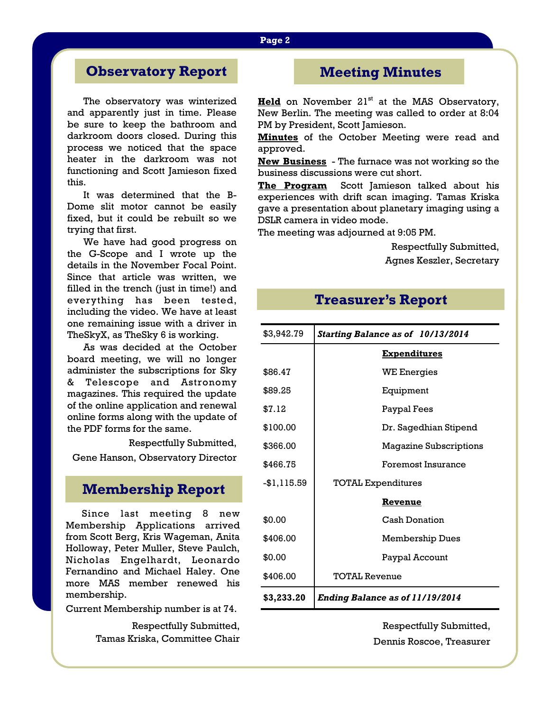# **Observatory Report**

The observatory was winterized and apparently just in time. Please be sure to keep the bathroom and darkroom doors closed. During this process we noticed that the space heater in the darkroom was not functioning and Scott Jamieson fixed this.

 It was determined that the B-Dome slit motor cannot be easily fixed, but it could be rebuilt so we trying that first.

 We have had good progress on the G-Scope and I wrote up the details in the November Focal Point. Since that article was written, we filled in the trench (just in time!) and everything has been tested, including the video. We have at least one remaining issue with a driver in TheSkyX, as TheSky 6 is working.

 As was decided at the October board meeting, we will no longer administer the subscriptions for Sky & Telescope and Astronomy magazines. This required the update of the online application and renewal online forms along with the update of the PDF forms for the same.

Respectfully Submitted,

Gene Hanson, Observatory Director

### **Membership Report**

Since last meeting 8 new Membership Applications arrived from Scott Berg, Kris Wageman, Anita Holloway, Peter Muller, Steve Paulch, Nicholas Engelhardt, Leonardo Fernandino and Michael Haley. One more MAS member renewed his membership.

Current Membership number is at 74.

Respectfully Submitted, Tamas Kriska, Committee Chair

# **Meeting Minutes**

**Held** on November 21<sup>st</sup> at the MAS Observatory, New Berlin. The meeting was called to order at 8:04 PM by President, Scott Jamieson.

**Minutes** of the October Meeting were read and approved.

**New Business** - The furnace was not working so the business discussions were cut short.

**The Program** Scott Jamieson talked about his experiences with drift scan imaging. Tamas Kriska gave a presentation about planetary imaging using a DSLR camera in video mode.

The meeting was adjourned at 9:05 PM.

Respectfully Submitted, Agnes Keszler, Secretary

### **Treasurer's Report**

| \$3,942.79  | Starting Balance as of 10/13/2014      |  |
|-------------|----------------------------------------|--|
|             | <b>Expenditures</b>                    |  |
| \$86.47     | <b>WE Energies</b>                     |  |
| \$89.25     | Equipment                              |  |
| \$7.12      | Paypal Fees                            |  |
| \$100.00    | Dr. Sagedhian Stipend                  |  |
| \$366.00    | <b>Magazine Subscriptions</b>          |  |
| \$466.75    | Foremost Insurance                     |  |
| -\$1,115.59 | <b>TOTAL Expenditures</b>              |  |
|             | Revenue                                |  |
| \$0.00      | <b>Cash Donation</b>                   |  |
| \$406.00    | <b>Membership Dues</b>                 |  |
| \$0.00      | Paypal Account                         |  |
| \$406.00    | <b>TOTAL Revenue</b>                   |  |
| \$3,233.20  | <b>Ending Balance as of 11/19/2014</b> |  |

Respectfully Submitted, Dennis Roscoe, Treasurer

#### **Page 2**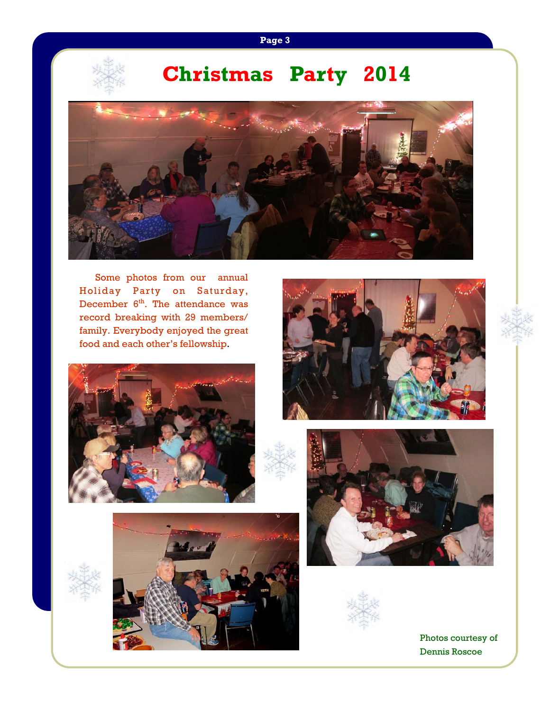### **Page 3**



# **Christmas Party 2014**



Some photos from our annual Holiday Party on Saturday, December  $6<sup>th</sup>$ . The attendance was record breaking with 29 members/ family. Everybody enjoyed the great food and each other's fellowship.











Photos courtesy of Dennis Roscoe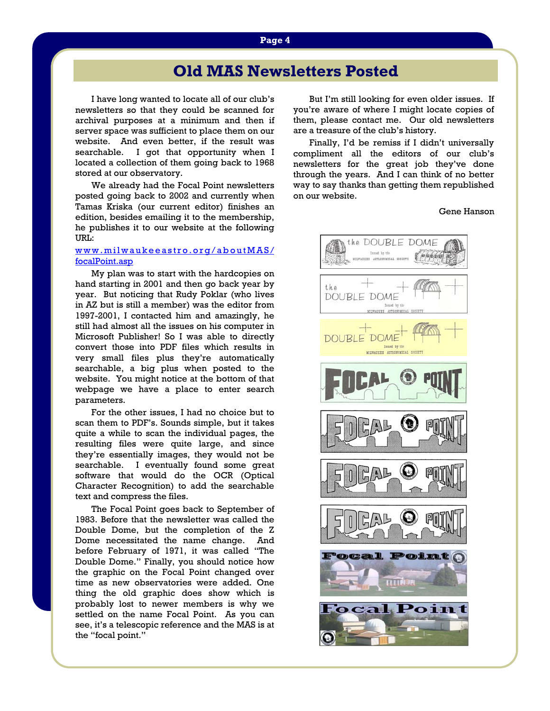# **Old MAS Newsletters Posted**

I have long wanted to locate all of our club's newsletters so that they could be scanned for archival purposes at a minimum and then if server space was sufficient to place them on our website. And even better, if the result was searchable. I got that opportunity when I located a collection of them going back to 1968 stored at our observatory.

 We already had the Focal Point newsletters posted going back to 2002 and currently when Tamas Kriska (our current editor) finishes an edition, besides emailing it to the membership, he publishes it to our website at the following URL:

#### www.milwaukeeastro.org/aboutMAS/ focalPoint.asp

 My plan was to start with the hardcopies on hand starting in 2001 and then go back year by year. But noticing that Rudy Poklar (who lives in AZ but is still a member) was the editor from 1997-2001, I contacted him and amazingly, he still had almost all the issues on his computer in Microsoft Publisher! So I was able to directly convert those into PDF files which results in very small files plus they're automatically searchable, a big plus when posted to the website. You might notice at the bottom of that webpage we have a place to enter search parameters.

 For the other issues, I had no choice but to scan them to PDF's. Sounds simple, but it takes quite a while to scan the individual pages, the resulting files were quite large, and since they're essentially images, they would not be searchable. I eventually found some great software that would do the OCR (Optical Character Recognition) to add the searchable text and compress the files.

 The Focal Point goes back to September of 1983. Before that the newsletter was called the Double Dome, but the completion of the Z Dome necessitated the name change. And before February of 1971, it was called "The Double Dome." Finally, you should notice how the graphic on the Focal Point changed over time as new observatories were added. One thing the old graphic does show which is probably lost to newer members is why we settled on the name Focal Point. As you can see, it's a telescopic reference and the MAS is at the "focal point."

 But I'm still looking for even older issues. If you're aware of where I might locate copies of them, please contact me. Our old newsletters are a treasure of the club's history.

 Finally, I'd be remiss if I didn't universally compliment all the editors of our club's newsletters for the great job they've done through the years. And I can think of no better way to say thanks than getting them republished on our website.

Gene Hanson

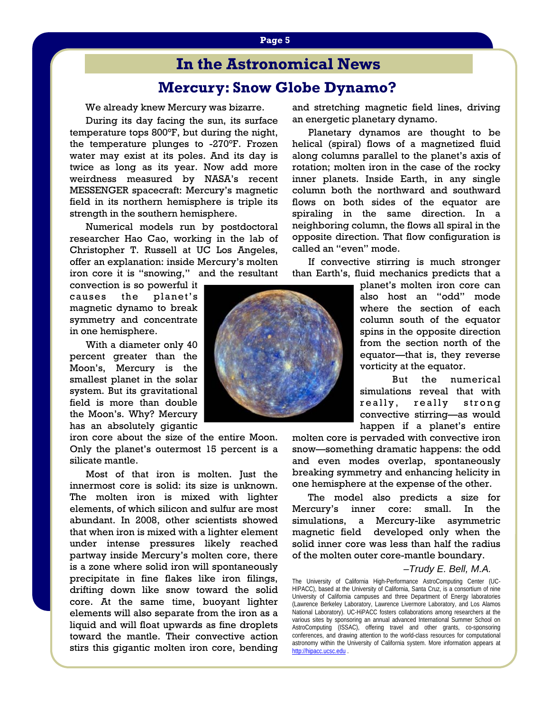# **In the Astronomical News**

## **Mercury: Snow Globe Dynamo?**

We already knew Mercury was bizarre.

 During its day facing the sun, its surface temperature tops 800°F, but during the night, the temperature plunges to -270°F. Frozen water may exist at its poles. And its day is twice as long as its year. Now add more weirdness measured by NASA's recent MESSENGER spacecraft: Mercury's magnetic field in its northern hemisphere is triple its strength in the southern hemisphere.

 Numerical models run by postdoctoral researcher Hao Cao, working in the lab of Christopher T. Russell at UC Los Angeles, offer an explanation: inside Mercury's molten iron core it is "snowing," and the resultant

convection is so powerful it causes the planet's magnetic dynamo to break symmetry and concentrate in one hemisphere.

 With a diameter only 40 percent greater than the Moon's, Mercury is the smallest planet in the solar system. But its gravitational field is more than double the Moon's. Why? Mercury has an absolutely gigantic

iron core about the size of the entire Moon. Only the planet's outermost 15 percent is a silicate mantle.

 Most of that iron is molten. Just the innermost core is solid: its size is unknown. The molten iron is mixed with lighter elements, of which silicon and sulfur are most abundant. In 2008, other scientists showed that when iron is mixed with a lighter element under intense pressures likely reached partway inside Mercury's molten core, there is a zone where solid iron will spontaneously precipitate in fine flakes like iron filings, drifting down like snow toward the solid core. At the same time, buoyant lighter elements will also separate from the iron as a liquid and will float upwards as fine droplets toward the mantle. Their convective action stirs this gigantic molten iron core, bending

and stretching magnetic field lines, driving an energetic planetary dynamo.

 Planetary dynamos are thought to be helical (spiral) flows of a magnetized fluid along columns parallel to the planet's axis of rotation; molten iron in the case of the rocky inner planets. Inside Earth, in any single column both the northward and southward flows on both sides of the equator are spiraling in the same direction. In a neighboring column, the flows all spiral in the opposite direction. That flow configuration is called an "even" mode.

 If convective stirring is much stronger than Earth's, fluid mechanics predicts that a

> planet's molten iron core can also host an "odd" mode where the section of each column south of the equator spins in the opposite direction from the section north of the equator—that is, they reverse vorticity at the equator.

> But the numerical simulations reveal that with really, really strong convective stirring—as would happen if a planet's entire

molten core is pervaded with convective iron snow—something dramatic happens: the odd and even modes overlap, spontaneously breaking symmetry and enhancing helicity in one hemisphere at the expense of the other.

 The model also predicts a size for Mercury's inner core: small. In the simulations, a Mercury-like asymmetric magnetic field developed only when the solid inner core was less than half the radius of the molten outer core-mantle boundary.

#### *–Trudy E. Bell, M.A.*

The University of California High-Performance AstroComputing Center (UC-HIPACC), based at the University of California, Santa Cruz, is a consortium of nine University of California campuses and three Department of Energy laboratories (Lawrence Berkeley Laboratory, Lawrence Livermore Laboratory, and Los Alamos National Laboratory). UC-HiPACC fosters collaborations among researchers at the various sites by sponsoring an annual advanced International Summer School on AstroComputing (ISSAC), offering travel and other grants, co-sponsoring conferences, and drawing attention to the world-class resources for computational astronomy within the University of California system. More information appears at http://hipacc.ucsc.edu .